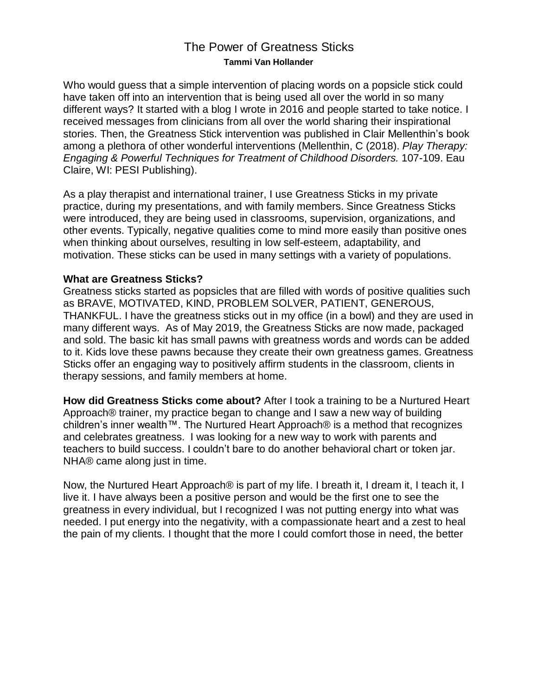## The Power of Greatness Sticks **Tammi Van Hollander**

Who would guess that a simple intervention of placing words on a popsicle stick could have taken off into an intervention that is being used all over the world in so many different ways? It started with a blog I wrote in 2016 and people started to take notice. I received messages from clinicians from all over the world sharing their inspirational stories. Then, the Greatness Stick intervention was published in Clair Mellenthin's book among a plethora of other wonderful interventions (Mellenthin, C (2018). *Play Therapy: Engaging & Powerful Techniques for Treatment of Childhood Disorders.* 107-109. Eau Claire, WI: PESI Publishing).

As a play therapist and international trainer, I use Greatness Sticks in my private practice, during my presentations, and with family members. Since Greatness Sticks were introduced, they are being used in classrooms, supervision, organizations, and other events. Typically, negative qualities come to mind more easily than positive ones when thinking about ourselves, resulting in low self-esteem, adaptability, and motivation. These sticks can be used in many settings with a variety of populations.

## **What are Greatness Sticks?**

Greatness sticks started as popsicles that are filled with words of positive qualities such as BRAVE, MOTIVATED, KIND, PROBLEM SOLVER, PATIENT, GENEROUS, THANKFUL. I have the greatness sticks out in my office (in a bowl) and they are used in many different ways. As of May 2019, the Greatness Sticks are now made, packaged and sold. The basic kit has small pawns with greatness words and words can be added to it. Kids love these pawns because they create their own greatness games. Greatness Sticks offer an engaging way to positively affirm students in the classroom, clients in therapy sessions, and family members at home.

**How did Greatness Sticks come about?** After I took a training to be a Nurtured Heart Approach® trainer, my practice began to change and I saw a new way of building children's inner wealth™. The Nurtured Heart Approach® is a method that recognizes and celebrates greatness. I was looking for a new way to work with parents and teachers to build success. I couldn't bare to do another behavioral chart or token jar. NHA® came along just in time.

Now, the Nurtured Heart Approach® is part of my life. I breath it, I dream it, I teach it, I live it. I have always been a positive person and would be the first one to see the greatness in every individual, but I recognized I was not putting energy into what was needed. I put energy into the negativity, with a compassionate heart and a zest to heal the pain of my clients. I thought that the more I could comfort those in need, the better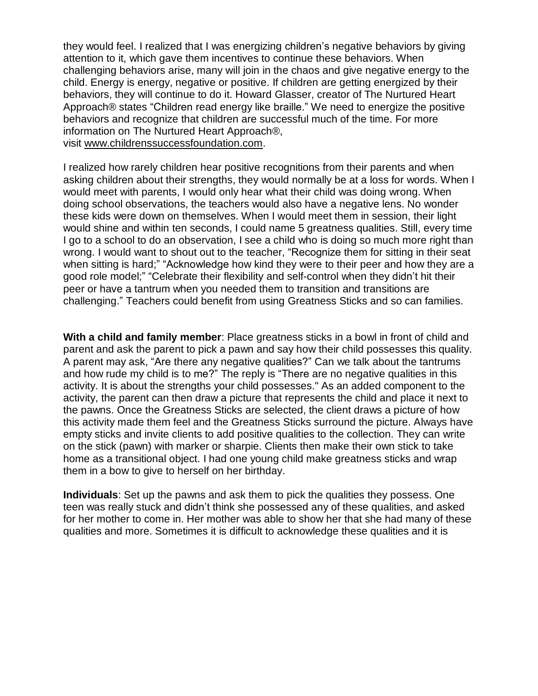they would feel. I realized that I was energizing children's negative behaviors by giving attention to it, which gave them incentives to continue these behaviors. When challenging behaviors arise, many will join in the chaos and give negative energy to the child. Energy is energy, negative or positive. If children are getting energized by their behaviors, they will continue to do it. Howard Glasser, creator of The Nurtured Heart Approach® states "Children read energy like braille." We need to energize the positive behaviors and recognize that children are successful much of the time. For more information on The Nurtured Heart Approach®, visit [www.childrenssuccessfoundation.com.](http://childrenssuccessfoundation.com/)

I realized how rarely children hear positive recognitions from their parents and when asking children about their strengths, they would normally be at a loss for words. When I would meet with parents, I would only hear what their child was doing wrong. When doing school observations, the teachers would also have a negative lens. No wonder these kids were down on themselves. When I would meet them in session, their light would shine and within ten seconds, I could name 5 greatness qualities. Still, every time I go to a school to do an observation, I see a child who is doing so much more right than wrong. I would want to shout out to the teacher, "Recognize them for sitting in their seat when sitting is hard;" "Acknowledge how kind they were to their peer and how they are a good role model;" "Celebrate their flexibility and self-control when they didn't hit their peer or have a tantrum when you needed them to transition and transitions are challenging." Teachers could benefit from using Greatness Sticks and so can families.

**With a child and family member**: Place greatness sticks in a bowl in front of child and parent and ask the parent to pick a pawn and say how their child possesses this quality. A parent may ask, "Are there any negative qualities?" Can we talk about the tantrums and how rude my child is to me?" The reply is "There are no negative qualities in this activity. It is about the strengths your child possesses." As an added component to the activity, the parent can then draw a picture that represents the child and place it next to the pawns. Once the Greatness Sticks are selected, the client draws a picture of how this activity made them feel and the Greatness Sticks surround the picture. Always have empty sticks and invite clients to add positive qualities to the collection. They can write on the stick (pawn) with marker or sharpie. Clients then make their own stick to take home as a transitional object. I had one young child make greatness sticks and wrap them in a bow to give to herself on her birthday.

**Individuals**: Set up the pawns and ask them to pick the qualities they possess. One teen was really stuck and didn't think she possessed any of these qualities, and asked for her mother to come in. Her mother was able to show her that she had many of these qualities and more. Sometimes it is difficult to acknowledge these qualities and it is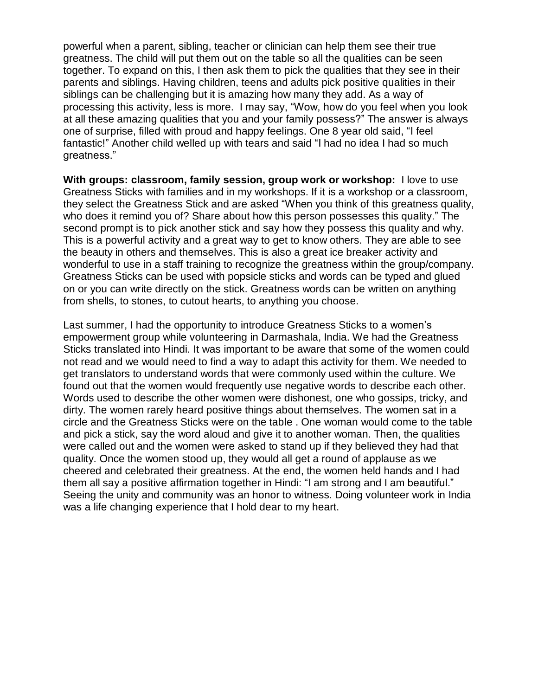powerful when a parent, sibling, teacher or clinician can help them see their true greatness. The child will put them out on the table so all the qualities can be seen together. To expand on this, I then ask them to pick the qualities that they see in their parents and siblings. Having children, teens and adults pick positive qualities in their siblings can be challenging but it is amazing how many they add. As a way of processing this activity, less is more. I may say, "Wow, how do you feel when you look at all these amazing qualities that you and your family possess?" The answer is always one of surprise, filled with proud and happy feelings. One 8 year old said, "I feel fantastic!" Another child welled up with tears and said "I had no idea I had so much greatness."

**With groups: classroom, family session, group work or workshop:** I love to use Greatness Sticks with families and in my workshops. If it is a workshop or a classroom, they select the Greatness Stick and are asked "When you think of this greatness quality, who does it remind you of? Share about how this person possesses this quality." The second prompt is to pick another stick and say how they possess this quality and why. This is a powerful activity and a great way to get to know others. They are able to see the beauty in others and themselves. This is also a great ice breaker activity and wonderful to use in a staff training to recognize the greatness within the group/company. Greatness Sticks can be used with popsicle sticks and words can be typed and glued on or you can write directly on the stick. Greatness words can be written on anything from shells, to stones, to cutout hearts, to anything you choose.

Last summer, I had the opportunity to introduce Greatness Sticks to a women's empowerment group while volunteering in Darmashala, India. We had the Greatness Sticks translated into Hindi. It was important to be aware that some of the women could not read and we would need to find a way to adapt this activity for them. We needed to get translators to understand words that were commonly used within the culture. We found out that the women would frequently use negative words to describe each other. Words used to describe the other women were dishonest, one who gossips, tricky, and dirty. The women rarely heard positive things about themselves. The women sat in a circle and the Greatness Sticks were on the table . One woman would come to the table and pick a stick, say the word aloud and give it to another woman. Then, the qualities were called out and the women were asked to stand up if they believed they had that quality. Once the women stood up, they would all get a round of applause as we cheered and celebrated their greatness. At the end, the women held hands and I had them all say a positive affirmation together in Hindi: "I am strong and I am beautiful." Seeing the unity and community was an honor to witness. Doing volunteer work in India was a life changing experience that I hold dear to my heart.